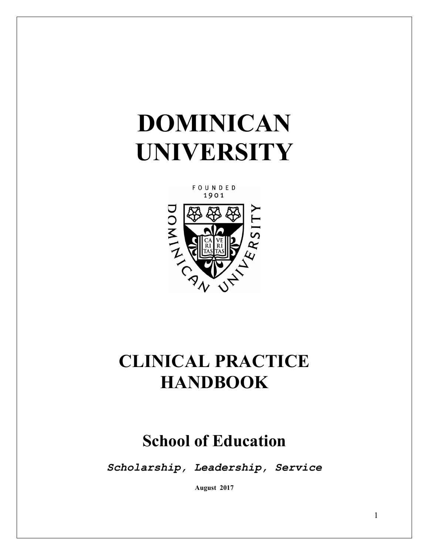# **DOMINICAN UNIVERSITY**



## **CLINICAL PRACTICE HANDBOOK**

## **School of Education**

*Scholarship, Leadership, Service*

**August 2017**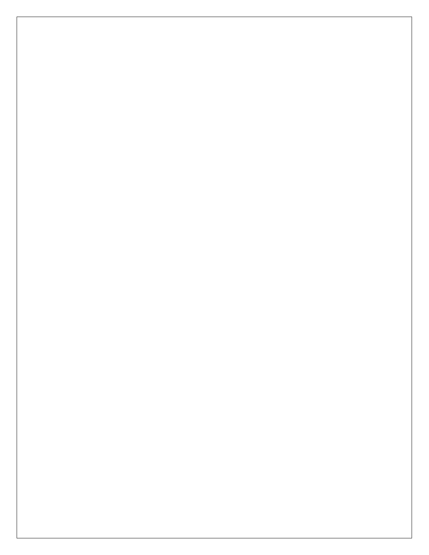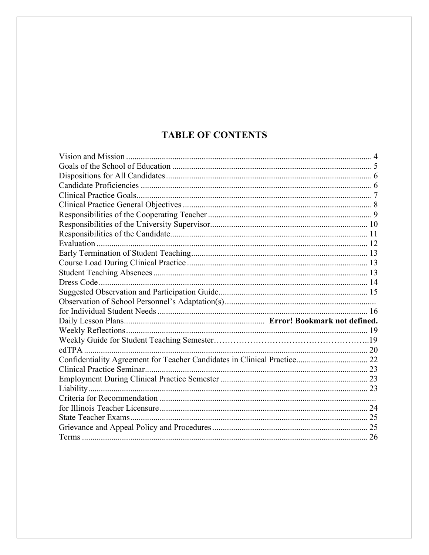#### **TABLE OF CONTENTS**

| $edTPA$ |  |
|---------|--|
|         |  |
|         |  |
|         |  |
|         |  |
|         |  |
|         |  |
|         |  |
|         |  |
|         |  |
|         |  |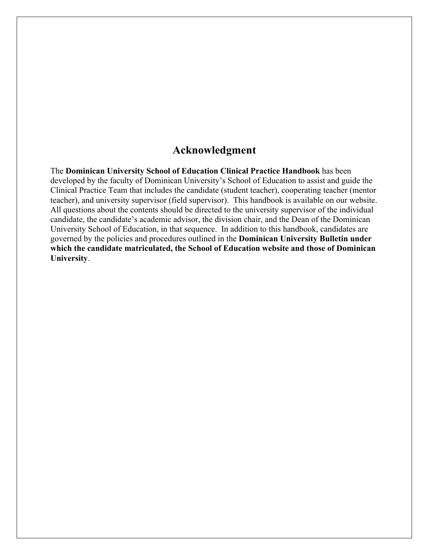#### **Acknowledgment**

The **Dominican University School of Education Clinical Practice Handbook** has been developed by the faculty of Dominican University's School of Education to assist and guide the Clinical Practice Team that includes the candidate (student teacher), cooperating teacher (mentor teacher), and university supervisor (field supervisor). This handbook is available on our website. All questions about the contents should be directed to the university supervisor of the individual candidate, the candidate's academic advisor, the division chair, and the Dean of the Dominican University School of Education, in that sequence. In addition to this handbook, candidates are governed by the policies and procedures outlined in the **Dominican University Bulletin under which the candidate matriculated, the School of Education website and those of Dominican University**.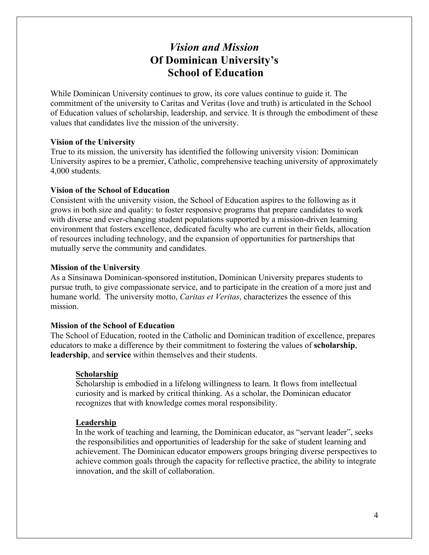## *Vision and Mission* **Of Dominican University's School of Education**

While Dominican University continues to grow, its core values continue to guide it. The commitment of the university to Caritas and Veritas (love and truth) is articulated in the School of Education values of scholarship, leadership, and service. It is through the embodiment of these values that candidates live the mission of the university.

#### **Vision of the University**

True to its mission, the university has identified the following university vision: Dominican University aspires to be a premier, Catholic, comprehensive teaching university of approximately 4,000 students.

#### **Vision of the School of Education**

Consistent with the university vision, the School of Education aspires to the following as it grows in both size and quality: to foster responsive programs that prepare candidates to work with diverse and ever-changing student populations supported by a mission-driven learning environment that fosters excellence, dedicated faculty who are current in their fields, allocation of resources including technology, and the expansion of opportunities for partnerships that mutually serve the community and candidates.

#### **Mission of the University**

As a Sinsinawa Dominican-sponsored institution, Dominican University prepares students to pursue truth, to give compassionate service, and to participate in the creation of a more just and humane world. The university motto, *Caritas et Veritas*, characterizes the essence of this mission.

#### **Mission of the School of Education**

The School of Education, rooted in the Catholic and Dominican tradition of excellence, prepares educators to make a difference by their commitment to fostering the values of **scholarship**, **leadership**, and **service** within themselves and their students.

#### **Scholarship**

Scholarship is embodied in a lifelong willingness to learn. It flows from intellectual curiosity and is marked by critical thinking. As a scholar, the Dominican educator recognizes that with knowledge comes moral responsibility.

#### **Leadership**

In the work of teaching and learning, the Dominican educator, as "servant leader", seeks the responsibilities and opportunities of leadership for the sake of student learning and achievement. The Dominican educator empowers groups bringing diverse perspectives to achieve common goals through the capacity for reflective practice, the ability to integrate innovation, and the skill of collaboration.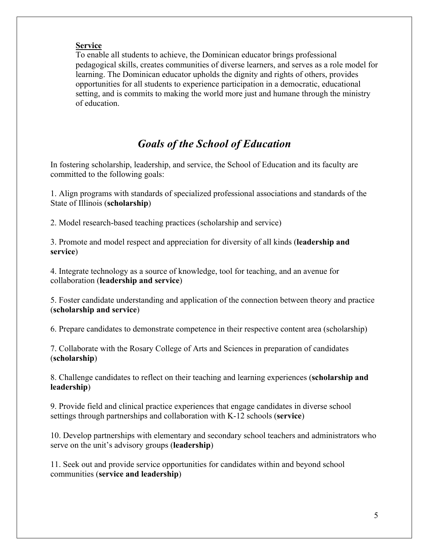#### **Service**

To enable all students to achieve, the Dominican educator brings professional pedagogical skills, creates communities of diverse learners, and serves as a role model for learning. The Dominican educator upholds the dignity and rights of others, provides opportunities for all students to experience participation in a democratic, educational setting, and is commits to making the world more just and humane through the ministry of education.

## *Goals of the School of Education*

In fostering scholarship, leadership, and service, the School of Education and its faculty are committed to the following goals:

1. Align programs with standards of specialized professional associations and standards of the State of Illinois (**scholarship**)

2. Model research-based teaching practices (scholarship and service)

3. Promote and model respect and appreciation for diversity of all kinds (**leadership and service**)

4. Integrate technology as a source of knowledge, tool for teaching, and an avenue for collaboration (**leadership and service**)

5. Foster candidate understanding and application of the connection between theory and practice (**scholarship and service**)

6. Prepare candidates to demonstrate competence in their respective content area (scholarship)

7. Collaborate with the Rosary College of Arts and Sciences in preparation of candidates (**scholarship**)

8. Challenge candidates to reflect on their teaching and learning experiences (**scholarship and leadership**)

9. Provide field and clinical practice experiences that engage candidates in diverse school settings through partnerships and collaboration with K-12 schools (**service**)

10. Develop partnerships with elementary and secondary school teachers and administrators who serve on the unit's advisory groups (**leadership**)

11. Seek out and provide service opportunities for candidates within and beyond school communities (**service and leadership**)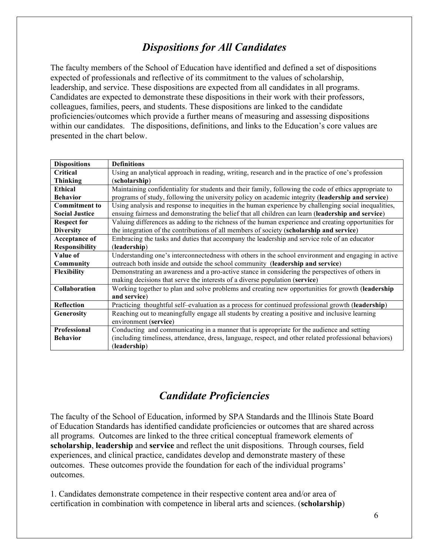## *Dispositions for All Candidates*

The faculty members of the School of Education have identified and defined a set of dispositions expected of professionals and reflective of its commitment to the values of scholarship, leadership, and service. These dispositions are expected from all candidates in all programs. Candidates are expected to demonstrate these dispositions in their work with their professors, colleagues, families, peers, and students. These dispositions are linked to the candidate proficiencies/outcomes which provide a further means of measuring and assessing dispositions within our candidates. The dispositions, definitions, and links to the Education's core values are presented in the chart below.

| <b>Dispositions</b>   | <b>Definitions</b>                                                                                     |
|-----------------------|--------------------------------------------------------------------------------------------------------|
| <b>Critical</b>       | Using an analytical approach in reading, writing, research and in the practice of one's profession     |
| <b>Thinking</b>       | (scholarship)                                                                                          |
| <b>Ethical</b>        | Maintaining confidentiality for students and their family, following the code of ethics appropriate to |
| <b>Behavior</b>       | programs of study, following the university policy on academic integrity (leadership and service)      |
| <b>Commitment to</b>  | Using analysis and response to inequities in the human experience by challenging social inequalities,  |
| <b>Social Justice</b> | ensuing fairness and demonstrating the belief that all children can learn (leadership and service)     |
| <b>Respect for</b>    | Valuing differences as adding to the richness of the human experience and creating opportunities for   |
| <b>Diversity</b>      | the integration of the contributions of all members of society (scholarship and service)               |
| Acceptance of         | Embracing the tasks and duties that accompany the leadership and service role of an educator           |
| <b>Responsibility</b> | (leadership)                                                                                           |
| Value of              | Understanding one's interconnectedness with others in the school environment and engaging in active    |
| <b>Community</b>      | outreach both inside and outside the school community (leadership and service)                         |
| Flexibility           | Demonstrating an awareness and a pro-active stance in considering the perspectives of others in        |
|                       | making decisions that serve the interests of a diverse population (service)                            |
| Collaboration         | Working together to plan and solve problems and creating new opportunities for growth (leadership      |
|                       | and service)                                                                                           |
| <b>Reflection</b>     | Practicing thoughtful self-evaluation as a process for continued professional growth (leadership)      |
| Generosity            | Reaching out to meaningfully engage all students by creating a positive and inclusive learning         |
|                       | environment (service)                                                                                  |
| Professional          | Conducting and communicating in a manner that is appropriate for the audience and setting              |
| <b>Behavior</b>       | (including timeliness, attendance, dress, language, respect, and other related professional behaviors) |
|                       | (leadership)                                                                                           |

## *Candidate Proficiencies*

The faculty of the School of Education, informed by SPA Standards and the Illinois State Board of Education Standards has identified candidate proficiencies or outcomes that are shared across all programs. Outcomes are linked to the three critical conceptual framework elements of **scholarship**, **leadership** and **service** and reflect the unit dispositions. Through courses, field experiences, and clinical practice, candidates develop and demonstrate mastery of these outcomes. These outcomes provide the foundation for each of the individual programs' outcomes.

1. Candidates demonstrate competence in their respective content area and/or area of certification in combination with competence in liberal arts and sciences. (**scholarship**)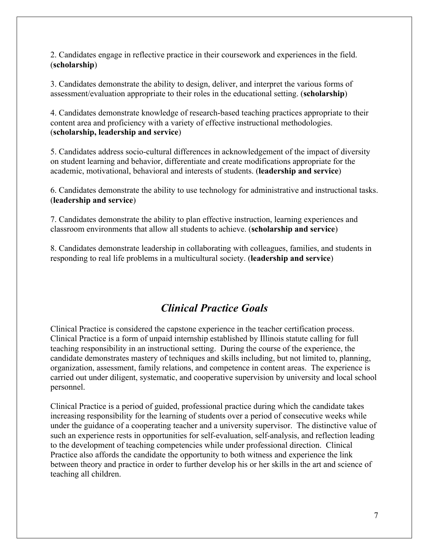2. Candidates engage in reflective practice in their coursework and experiences in the field. (**scholarship**)

3. Candidates demonstrate the ability to design, deliver, and interpret the various forms of assessment/evaluation appropriate to their roles in the educational setting. (**scholarship**)

4. Candidates demonstrate knowledge of research-based teaching practices appropriate to their content area and proficiency with a variety of effective instructional methodologies. (**scholarship, leadership and service**)

5. Candidates address socio-cultural differences in acknowledgement of the impact of diversity on student learning and behavior, differentiate and create modifications appropriate for the academic, motivational, behavioral and interests of students. (**leadership and service**)

6. Candidates demonstrate the ability to use technology for administrative and instructional tasks. (**leadership and service**)

7. Candidates demonstrate the ability to plan effective instruction, learning experiences and classroom environments that allow all students to achieve. (**scholarship and service**)

8. Candidates demonstrate leadership in collaborating with colleagues, families, and students in responding to real life problems in a multicultural society. (**leadership and service**)

## *Clinical Practice Goals*

Clinical Practice is considered the capstone experience in the teacher certification process. Clinical Practice is a form of unpaid internship established by Illinois statute calling for full teaching responsibility in an instructional setting. During the course of the experience, the candidate demonstrates mastery of techniques and skills including, but not limited to, planning, organization, assessment, family relations, and competence in content areas. The experience is carried out under diligent, systematic, and cooperative supervision by university and local school personnel.

Clinical Practice is a period of guided, professional practice during which the candidate takes increasing responsibility for the learning of students over a period of consecutive weeks while under the guidance of a cooperating teacher and a university supervisor. The distinctive value of such an experience rests in opportunities for self-evaluation, self-analysis, and reflection leading to the development of teaching competencies while under professional direction. Clinical Practice also affords the candidate the opportunity to both witness and experience the link between theory and practice in order to further develop his or her skills in the art and science of teaching all children.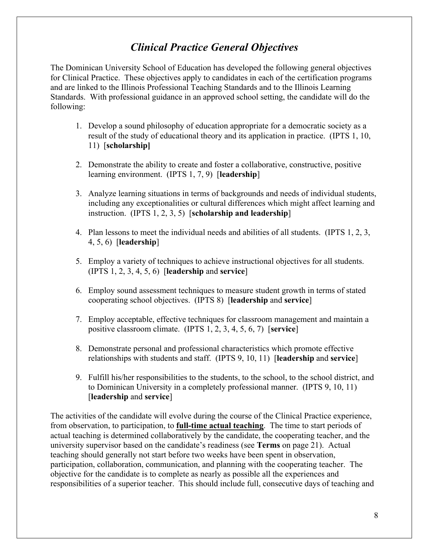## *Clinical Practice General Objectives*

The Dominican University School of Education has developed the following general objectives for Clinical Practice. These objectives apply to candidates in each of the certification programs and are linked to the Illinois Professional Teaching Standards and to the Illinois Learning Standards. With professional guidance in an approved school setting, the candidate will do the following:

- 1. Develop a sound philosophy of education appropriate for a democratic society as a result of the study of educational theory and its application in practice. (IPTS 1, 10, 11) [**scholarship]**
- 2. Demonstrate the ability to create and foster a collaborative, constructive, positive learning environment. (IPTS 1, 7, 9) [**leadership**]
- 3. Analyze learning situations in terms of backgrounds and needs of individual students, including any exceptionalities or cultural differences which might affect learning and instruction. (IPTS 1, 2, 3, 5) [**scholarship and leadership**]
- 4. Plan lessons to meet the individual needs and abilities of all students. (IPTS 1, 2, 3, 4, 5, 6) [**leadership**]
- 5. Employ a variety of techniques to achieve instructional objectives for all students. (IPTS 1, 2, 3, 4, 5, 6) [**leadership** and **service**]
- 6. Employ sound assessment techniques to measure student growth in terms of stated cooperating school objectives. (IPTS 8) [**leadership** and **service**]
- 7. Employ acceptable, effective techniques for classroom management and maintain a positive classroom climate. (IPTS 1, 2, 3, 4, 5, 6, 7) [**service**]
- 8. Demonstrate personal and professional characteristics which promote effective relationships with students and staff. (IPTS 9, 10, 11) [**leadership** and **service**]
- 9. Fulfill his/her responsibilities to the students, to the school, to the school district, and to Dominican University in a completely professional manner. (IPTS 9, 10, 11) [**leadership** and **service**]

The activities of the candidate will evolve during the course of the Clinical Practice experience, from observation, to participation, to **full-time actual teaching**. The time to start periods of actual teaching is determined collaboratively by the candidate, the cooperating teacher, and the university supervisor based on the candidate's readiness (see **Terms** on page 21). Actual teaching should generally not start before two weeks have been spent in observation, participation, collaboration, communication, and planning with the cooperating teacher. The objective for the candidate is to complete as nearly as possible all the experiences and responsibilities of a superior teacher. This should include full, consecutive days of teaching and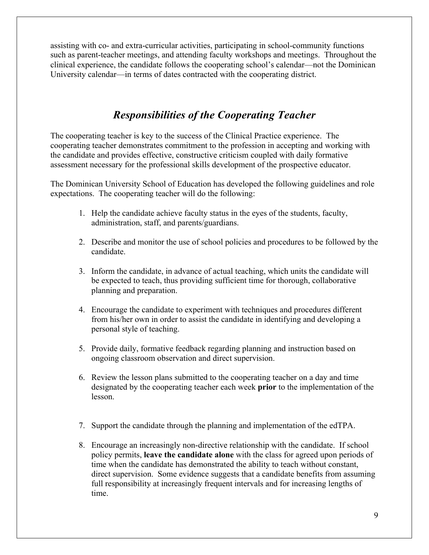assisting with co- and extra-curricular activities, participating in school-community functions such as parent-teacher meetings, and attending faculty workshops and meetings. Throughout the clinical experience, the candidate follows the cooperating school's calendar—not the Dominican University calendar—in terms of dates contracted with the cooperating district.

## *Responsibilities of the Cooperating Teacher*

The cooperating teacher is key to the success of the Clinical Practice experience. The cooperating teacher demonstrates commitment to the profession in accepting and working with the candidate and provides effective, constructive criticism coupled with daily formative assessment necessary for the professional skills development of the prospective educator.

The Dominican University School of Education has developed the following guidelines and role expectations. The cooperating teacher will do the following:

- 1. Help the candidate achieve faculty status in the eyes of the students, faculty, administration, staff, and parents/guardians.
- 2. Describe and monitor the use of school policies and procedures to be followed by the candidate.
- 3. Inform the candidate, in advance of actual teaching, which units the candidate will be expected to teach, thus providing sufficient time for thorough, collaborative planning and preparation.
- 4. Encourage the candidate to experiment with techniques and procedures different from his/her own in order to assist the candidate in identifying and developing a personal style of teaching.
- 5. Provide daily, formative feedback regarding planning and instruction based on ongoing classroom observation and direct supervision.
- 6. Review the lesson plans submitted to the cooperating teacher on a day and time designated by the cooperating teacher each week **prior** to the implementation of the lesson.
- 7. Support the candidate through the planning and implementation of the edTPA.
- 8. Encourage an increasingly non-directive relationship with the candidate. If school policy permits, **leave the candidate alone** with the class for agreed upon periods of time when the candidate has demonstrated the ability to teach without constant, direct supervision. Some evidence suggests that a candidate benefits from assuming full responsibility at increasingly frequent intervals and for increasing lengths of time.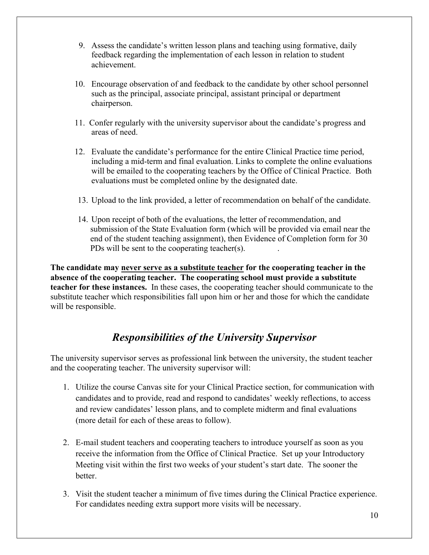- 9. Assess the candidate's written lesson plans and teaching using formative, daily feedback regarding the implementation of each lesson in relation to student achievement.
- 10. Encourage observation of and feedback to the candidate by other school personnel such as the principal, associate principal, assistant principal or department chairperson.
- 11. Confer regularly with the university supervisor about the candidate's progress and areas of need.
- 12. Evaluate the candidate's performance for the entire Clinical Practice time period, including a mid-term and final evaluation. Links to complete the online evaluations will be emailed to the cooperating teachers by the Office of Clinical Practice. Both evaluations must be completed online by the designated date.
- 13. Upload to the link provided, a letter of recommendation on behalf of the candidate.
- 14. Upon receipt of both of the evaluations, the letter of recommendation, and submission of the State Evaluation form (which will be provided via email near the end of the student teaching assignment), then Evidence of Completion form for 30 PDs will be sent to the cooperating teacher(s).

**The candidate may never serve as a substitute teacher for the cooperating teacher in the absence of the cooperating teacher. The cooperating school must provide a substitute teacher for these instances.** In these cases, the cooperating teacher should communicate to the substitute teacher which responsibilities fall upon him or her and those for which the candidate will be responsible.

## *Responsibilities of the University Supervisor*

The university supervisor serves as professional link between the university, the student teacher and the cooperating teacher. The university supervisor will:

- 1. Utilize the course Canvas site for your Clinical Practice section, for communication with candidates and to provide, read and respond to candidates' weekly reflections, to access and review candidates' lesson plans, and to complete midterm and final evaluations (more detail for each of these areas to follow).
- 2. E-mail student teachers and cooperating teachers to introduce yourself as soon as you receive the information from the Office of Clinical Practice. Set up your Introductory Meeting visit within the first two weeks of your student's start date. The sooner the **better**
- 3. Visit the student teacher a minimum of five times during the Clinical Practice experience. For candidates needing extra support more visits will be necessary.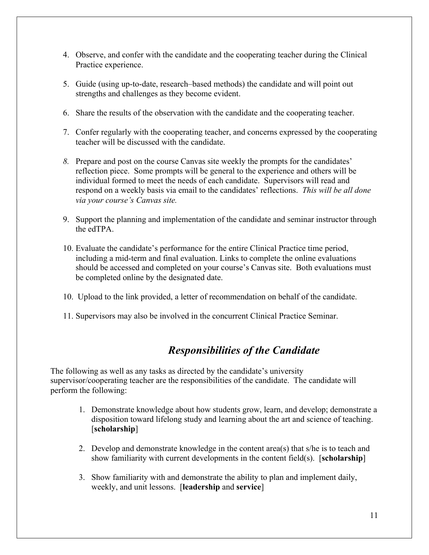- 4. Observe, and confer with the candidate and the cooperating teacher during the Clinical Practice experience.
- 5. Guide (using up-to-date, research–based methods) the candidate and will point out strengths and challenges as they become evident.
- 6. Share the results of the observation with the candidate and the cooperating teacher.
- 7. Confer regularly with the cooperating teacher, and concerns expressed by the cooperating teacher will be discussed with the candidate.
- *8.* Prepare and post on the course Canvas site weekly the prompts for the candidates' reflection piece. Some prompts will be general to the experience and others will be individual formed to meet the needs of each candidate. Supervisors will read and respond on a weekly basis via email to the candidates' reflections. *This will be all done via your course's Canvas site.*
- 9. Support the planning and implementation of the candidate and seminar instructor through the edTPA.
- 10. Evaluate the candidate's performance for the entire Clinical Practice time period, including a mid-term and final evaluation. Links to complete the online evaluations should be accessed and completed on your course's Canvas site. Both evaluations must be completed online by the designated date.
- 10. Upload to the link provided, a letter of recommendation on behalf of the candidate.
- 11. Supervisors may also be involved in the concurrent Clinical Practice Seminar.

## *Responsibilities of the Candidate*

The following as well as any tasks as directed by the candidate's university supervisor/cooperating teacher are the responsibilities of the candidate. The candidate will perform the following:

- 1. Demonstrate knowledge about how students grow, learn, and develop; demonstrate a disposition toward lifelong study and learning about the art and science of teaching. [**scholarship**]
- 2. Develop and demonstrate knowledge in the content area(s) that s/he is to teach and show familiarity with current developments in the content field(s). [**scholarship**]
- 3. Show familiarity with and demonstrate the ability to plan and implement daily, weekly, and unit lessons. [**leadership** and **service**]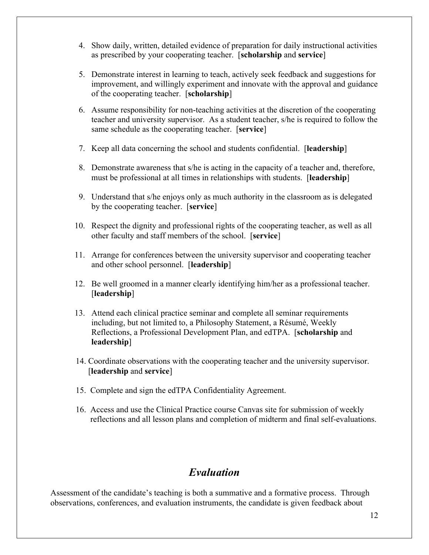- 4. Show daily, written, detailed evidence of preparation for daily instructional activities as prescribed by your cooperating teacher. [**scholarship** and **service**]
- 5. Demonstrate interest in learning to teach, actively seek feedback and suggestions for improvement, and willingly experiment and innovate with the approval and guidance of the cooperating teacher. [**scholarship**]
- 6. Assume responsibility for non-teaching activities at the discretion of the cooperating teacher and university supervisor. As a student teacher, s/he is required to follow the same schedule as the cooperating teacher. [**service**]
- 7. Keep all data concerning the school and students confidential. [**leadership**]
- 8. Demonstrate awareness that s/he is acting in the capacity of a teacher and, therefore, must be professional at all times in relationships with students. [**leadership**]
- 9. Understand that s/he enjoys only as much authority in the classroom as is delegated by the cooperating teacher. [**service**]
- 10. Respect the dignity and professional rights of the cooperating teacher, as well as all other faculty and staff members of the school. [**service**]
- 11. Arrange for conferences between the university supervisor and cooperating teacher and other school personnel. [**leadership**]
- 12. Be well groomed in a manner clearly identifying him/her as a professional teacher. [**leadership**]
- 13. Attend each clinical practice seminar and complete all seminar requirements including, but not limited to, a Philosophy Statement, a Résumé, Weekly Reflections, a Professional Development Plan, and edTPA. [**scholarship** and **leadership**]
- 14. Coordinate observations with the cooperating teacher and the university supervisor. [**leadership** and **service**]
- 15. Complete and sign the edTPA Confidentiality Agreement.
- 16. Access and use the Clinical Practice course Canvas site for submission of weekly reflections and all lesson plans and completion of midterm and final self-evaluations.

#### *Evaluation*

Assessment of the candidate's teaching is both a summative and a formative process. Through observations, conferences, and evaluation instruments, the candidate is given feedback about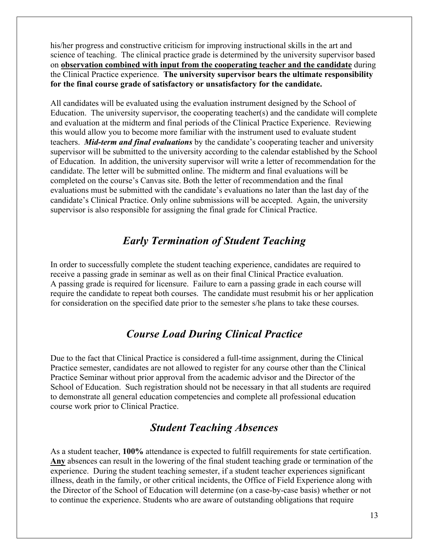his/her progress and constructive criticism for improving instructional skills in the art and science of teaching. The clinical practice grade is determined by the university supervisor based on **observation combined with input from the cooperating teacher and the candidate** during the Clinical Practice experience. **The university supervisor bears the ultimate responsibility for the final course grade of satisfactory or unsatisfactory for the candidate.** 

All candidates will be evaluated using the evaluation instrument designed by the School of Education. The university supervisor, the cooperating teacher(s) and the candidate will complete and evaluation at the midterm and final periods of the Clinical Practice Experience. Reviewing this would allow you to become more familiar with the instrument used to evaluate student teachers. *Mid-term and final evaluations* by the candidate's cooperating teacher and university supervisor will be submitted to the university according to the calendar established by the School of Education. In addition, the university supervisor will write a letter of recommendation for the candidate. The letter will be submitted online. The midterm and final evaluations will be completed on the course's Canvas site. Both the letter of recommendation and the final evaluations must be submitted with the candidate's evaluations no later than the last day of the candidate's Clinical Practice. Only online submissions will be accepted. Again, the university supervisor is also responsible for assigning the final grade for Clinical Practice.

#### *Early Termination of Student Teaching*

In order to successfully complete the student teaching experience, candidates are required to receive a passing grade in seminar as well as on their final Clinical Practice evaluation. A passing grade is required for licensure. Failure to earn a passing grade in each course will require the candidate to repeat both courses. The candidate must resubmit his or her application for consideration on the specified date prior to the semester s/he plans to take these courses.

#### *Course Load During Clinical Practice*

Due to the fact that Clinical Practice is considered a full-time assignment, during the Clinical Practice semester, candidates are not allowed to register for any course other than the Clinical Practice Seminar without prior approval from the academic advisor and the Director of the School of Education. Such registration should not be necessary in that all students are required to demonstrate all general education competencies and complete all professional education course work prior to Clinical Practice.

#### *Student Teaching Absences*

As a student teacher, **100%** attendance is expected to fulfill requirements for state certification. **Any** absences can result in the lowering of the final student teaching grade or termination of the experience. During the student teaching semester, if a student teacher experiences significant illness, death in the family, or other critical incidents, the Office of Field Experience along with the Director of the School of Education will determine (on a case-by-case basis) whether or not to continue the experience. Students who are aware of outstanding obligations that require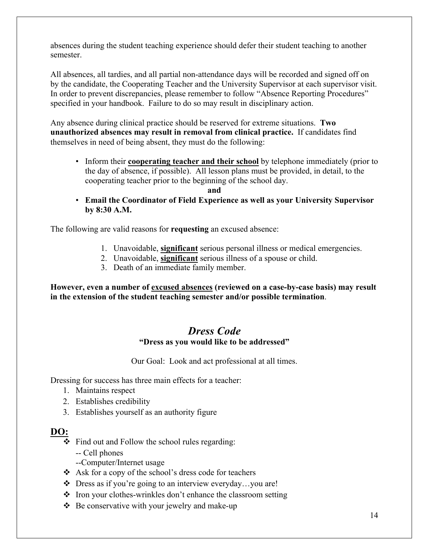absences during the student teaching experience should defer their student teaching to another semester.

All absences, all tardies, and all partial non-attendance days will be recorded and signed off on by the candidate, the Cooperating Teacher and the University Supervisor at each supervisor visit. In order to prevent discrepancies, please remember to follow "Absence Reporting Procedures" specified in your handbook. Failure to do so may result in disciplinary action.

Any absence during clinical practice should be reserved for extreme situations. **Two unauthorized absences may result in removal from clinical practice.** If candidates find themselves in need of being absent, they must do the following:

• Inform their **cooperating teacher and their school** by telephone immediately (prior to the day of absence, if possible). All lesson plans must be provided, in detail, to the cooperating teacher prior to the beginning of the school day.

**and**

• **Email the Coordinator of Field Experience as well as your University Supervisor by 8:30 A.M.**

The following are valid reasons for **requesting** an excused absence:

- 1. Unavoidable, **significant** serious personal illness or medical emergencies.
- 2. Unavoidable, **significant** serious illness of a spouse or child.
- 3. Death of an immediate family member.

**However, even a number of excused absences (reviewed on a case-by-case basis) may result in the extension of the student teaching semester and/or possible termination**.

## *Dress Code*

#### **"Dress as you would like to be addressed"**

Our Goal: Look and act professional at all times.

Dressing for success has three main effects for a teacher:

- 1. Maintains respect
- 2. Establishes credibility
- 3. Establishes yourself as an authority figure

#### **DO:**

- $\div$  Find out and Follow the school rules regarding:
	- -- Cell phones
	- --Computer/Internet usage
- $\triangle$  Ask for a copy of the school's dress code for teachers
- $\triangle$  Dress as if you're going to an interview everyday...you are!
- $\cdot$  Iron your clothes-wrinkles don't enhance the classroom setting
- $\triangle$  Be conservative with your jewelry and make-up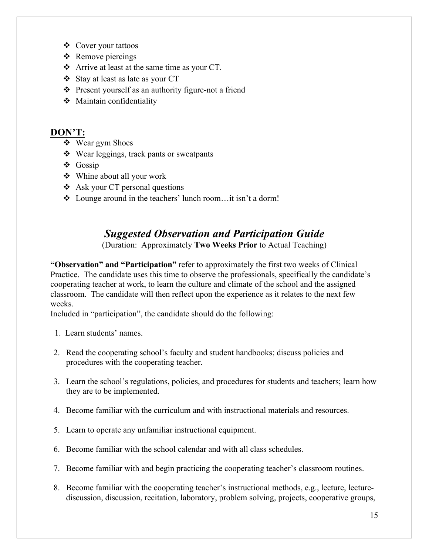- ❖ Cover your tattoos
- $\triangleleft$  Remove piercings
- v Arrive at least at the same time as your CT.
- $\div$  Stay at least as late as your CT
- $\triangle$  Present yourself as an authority figure-not a friend
- $\triangleleft$  Maintain confidentiality

#### **DON'T:**

- $\div$  Wear gym Shoes
- $\triangleleft$  Wear leggings, track pants or sweatpants
- $\triangleleft$  Gossip
- v Whine about all your work
- $\triangleleft$  Ask your CT personal questions
- $\triangle$  Lounge around in the teachers' lunch room...it isn't a dorm!

#### *Suggested Observation and Participation Guide*

(Duration: Approximately **Two Weeks Prior** to Actual Teaching)

**"Observation" and "Participation"** refer to approximately the first two weeks of Clinical Practice. The candidate uses this time to observe the professionals, specifically the candidate's cooperating teacher at work, to learn the culture and climate of the school and the assigned classroom. The candidate will then reflect upon the experience as it relates to the next few weeks.

Included in "participation", the candidate should do the following:

- 1. Learn students' names.
- 2. Read the cooperating school's faculty and student handbooks; discuss policies and procedures with the cooperating teacher.
- 3. Learn the school's regulations, policies, and procedures for students and teachers; learn how they are to be implemented.
- 4. Become familiar with the curriculum and with instructional materials and resources.
- 5. Learn to operate any unfamiliar instructional equipment.
- 6. Become familiar with the school calendar and with all class schedules.
- 7. Become familiar with and begin practicing the cooperating teacher's classroom routines.
- 8. Become familiar with the cooperating teacher's instructional methods, e.g., lecture, lecturediscussion, discussion, recitation, laboratory, problem solving, projects, cooperative groups,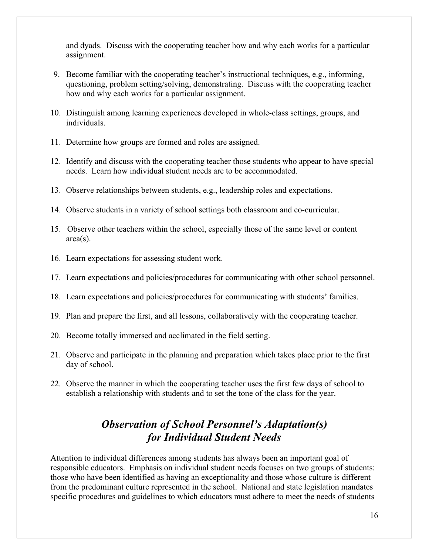and dyads. Discuss with the cooperating teacher how and why each works for a particular assignment.

- 9. Become familiar with the cooperating teacher's instructional techniques, e.g., informing, questioning, problem setting/solving, demonstrating. Discuss with the cooperating teacher how and why each works for a particular assignment.
- 10. Distinguish among learning experiences developed in whole-class settings, groups, and individuals.
- 11. Determine how groups are formed and roles are assigned.
- 12. Identify and discuss with the cooperating teacher those students who appear to have special needs. Learn how individual student needs are to be accommodated.
- 13. Observe relationships between students, e.g., leadership roles and expectations.
- 14. Observe students in a variety of school settings both classroom and co-curricular.
- 15. Observe other teachers within the school, especially those of the same level or content area(s).
- 16. Learn expectations for assessing student work.
- 17. Learn expectations and policies/procedures for communicating with other school personnel.
- 18. Learn expectations and policies/procedures for communicating with students' families.
- 19. Plan and prepare the first, and all lessons, collaboratively with the cooperating teacher.
- 20. Become totally immersed and acclimated in the field setting.
- 21. Observe and participate in the planning and preparation which takes place prior to the first day of school.
- 22. Observe the manner in which the cooperating teacher uses the first few days of school to establish a relationship with students and to set the tone of the class for the year.

## *Observation of School Personnel's Adaptation(s) for Individual Student Needs*

Attention to individual differences among students has always been an important goal of responsible educators. Emphasis on individual student needs focuses on two groups of students: those who have been identified as having an exceptionality and those whose culture is different from the predominant culture represented in the school. National and state legislation mandates specific procedures and guidelines to which educators must adhere to meet the needs of students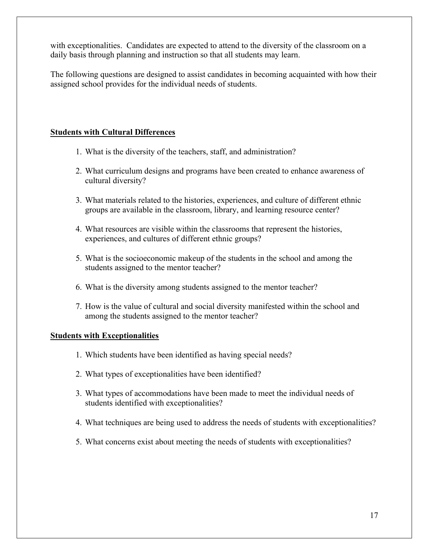with exceptionalities. Candidates are expected to attend to the diversity of the classroom on a daily basis through planning and instruction so that all students may learn.

The following questions are designed to assist candidates in becoming acquainted with how their assigned school provides for the individual needs of students.

#### **Students with Cultural Differences**

- 1. What is the diversity of the teachers, staff, and administration?
- 2. What curriculum designs and programs have been created to enhance awareness of cultural diversity?
- 3. What materials related to the histories, experiences, and culture of different ethnic groups are available in the classroom, library, and learning resource center?
- 4. What resources are visible within the classrooms that represent the histories, experiences, and cultures of different ethnic groups?
- 5. What is the socioeconomic makeup of the students in the school and among the students assigned to the mentor teacher?
- 6. What is the diversity among students assigned to the mentor teacher?
- 7. How is the value of cultural and social diversity manifested within the school and among the students assigned to the mentor teacher?

#### **Students with Exceptionalities**

- 1. Which students have been identified as having special needs?
- 2. What types of exceptionalities have been identified?
- 3. What types of accommodations have been made to meet the individual needs of students identified with exceptionalities?
- 4. What techniques are being used to address the needs of students with exceptionalities?
- 5. What concerns exist about meeting the needs of students with exceptionalities?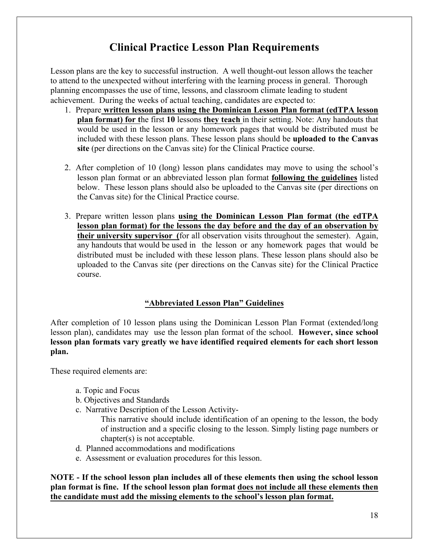## **Clinical Practice Lesson Plan Requirements**

Lesson plans are the key to successful instruction. A well thought-out lesson allows the teacher to attend to the unexpected without interfering with the learning process in general. Thorough planning encompasses the use of time, lessons, and classroom climate leading to student achievement. During the weeks of actual teaching, candidates are expected to:

- 1. Prepare **written lesson plans using the Dominican Lesson Plan format (edTPA lesson plan format) for t**he first **10** lessons **they teach** in their setting. Note: Any handouts that would be used in the lesson or any homework pages that would be distributed must be included with these lesson plans. These lesson plans should be **uploaded to the Canvas site** (per directions on the Canvas site) for the Clinical Practice course.
- 2. After completion of 10 (long) lesson plans candidates may move to using the school's lesson plan format or an abbreviated lesson plan format **following the guidelines** listed below. These lesson plans should also be uploaded to the Canvas site (per directions on the Canvas site) for the Clinical Practice course.
- 3. Prepare written lesson plans **using the Dominican Lesson Plan format (the edTPA lesson plan format) for the lessons the day before and the day of an observation by their university supervisor (**for all observation visits throughout the semester). Again, any handouts that would be used in the lesson or any homework pages that would be distributed must be included with these lesson plans. These lesson plans should also be uploaded to the Canvas site (per directions on the Canvas site) for the Clinical Practice course.

#### **"Abbreviated Lesson Plan" Guidelines**

After completion of 10 lesson plans using the Dominican Lesson Plan Format (extended/long lesson plan), candidates may use the lesson plan format of the school. **However, since school lesson plan formats vary greatly we have identified required elements for each short lesson plan.**

These required elements are:

- a. Topic and Focus
- b. Objectives and Standards
- c. Narrative Description of the Lesson Activity-

This narrative should include identification of an opening to the lesson, the body of instruction and a specific closing to the lesson. Simply listing page numbers or chapter(s) is not acceptable.

- d. Planned accommodations and modifications
- e. Assessment or evaluation procedures for this lesson.

**NOTE - If the school lesson plan includes all of these elements then using the school lesson plan format is fine. If the school lesson plan format does not include all these elements then the candidate must add the missing elements to the school's lesson plan format.**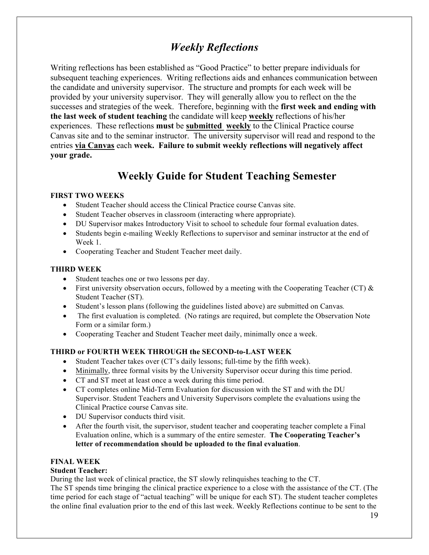## *Weekly Reflections*

Writing reflections has been established as "Good Practice" to better prepare individuals for subsequent teaching experiences. Writing reflections aids and enhances communication between the candidate and university supervisor. The structure and prompts for each week will be provided by your university supervisor. They will generally allow you to reflect on the the successes and strategies of the week. Therefore, beginning with the **first week and ending with the last week of student teaching** the candidate will keep **weekly** reflections of his/her experiences. These reflections **must** be **submitted weekly** to the Clinical Practice course Canvas site and to the seminar instructor. The university supervisor will read and respond to the entries **via Canvas** each **week. Failure to submit weekly reflections will negatively affect your grade.**

## **Weekly Guide for Student Teaching Semester**

#### **FIRST TWO WEEKS**

- Student Teacher should access the Clinical Practice course Canvas site.
- Student Teacher observes in classroom (interacting where appropriate).
- DU Supervisor makes Introductory Visit to school to schedule four formal evaluation dates.
- Students begin e-mailing Weekly Reflections to supervisor and seminar instructor at the end of Week 1.
- Cooperating Teacher and Student Teacher meet daily.

#### **THIRD WEEK**

- Student teaches one or two lessons per day.
- First university observation occurs, followed by a meeting with the Cooperating Teacher (CT)  $\&$ Student Teacher (ST).
- Student's lesson plans (following the guidelines listed above) are submitted on Canvas*.*
- The first evaluation is completed. (No ratings are required, but complete the Observation Note Form or a similar form.)
- Cooperating Teacher and Student Teacher meet daily, minimally once a week.

#### **THIRD or FOURTH WEEK THROUGH the SECOND-to-LAST WEEK**

- Student Teacher takes over (CT's daily lessons; full-time by the fifth week).
- Minimally, three formal visits by the University Supervisor occur during this time period.
- CT and ST meet at least once a week during this time period.
- CT completes online Mid-Term Evaluation for discussion with the ST and with the DU Supervisor. Student Teachers and University Supervisors complete the evaluations using the Clinical Practice course Canvas site.
- DU Supervisor conducts third visit.
- After the fourth visit, the supervisor, student teacher and cooperating teacher complete a Final Evaluation online, which is a summary of the entire semester. **The Cooperating Teacher's letter of recommendation should be uploaded to the final evaluation**.

#### **FINAL WEEK**

#### **Student Teacher:**

During the last week of clinical practice, the ST slowly relinquishes teaching to the CT.

The ST spends time bringing the clinical practice experience to a close with the assistance of the CT. (The time period for each stage of "actual teaching" will be unique for each ST). The student teacher completes the online final evaluation prior to the end of this last week. Weekly Reflections continue to be sent to the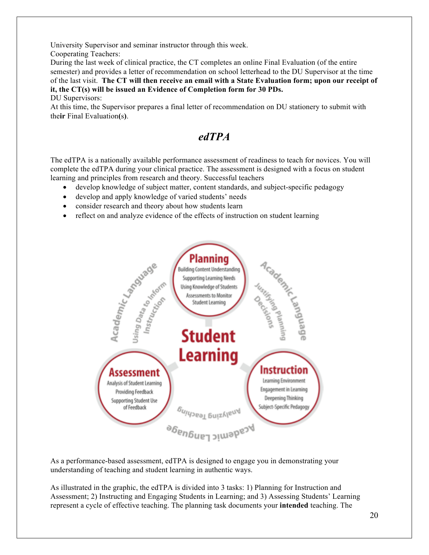University Supervisor and seminar instructor through this week.

Cooperating Teachers:

During the last week of clinical practice, the CT completes an online Final Evaluation (of the entire semester) and provides a letter of recommendation on school letterhead to the DU Supervisor at the time of the last visit. **The CT will then receive an email with a State Evaluation form; upon our receipt of it, the CT(s) will be issued an Evidence of Completion form for 30 PDs.** DU Supervisors:

At this time, the Supervisor prepares a final letter of recommendation on DU stationery to submit with the**ir** Final Evaluation**(**s**)**.

## *edTPA*

The edTPA is a nationally available performance assessment of readiness to teach for novices. You will complete the edTPA during your clinical practice. The assessment is designed with a focus on student learning and principles from research and theory. Successful teachers

- develop knowledge of subject matter, content standards, and subject-specific pedagogy
- develop and apply knowledge of varied students' needs
- consider research and theory about how students learn
- reflect on and analyze evidence of the effects of instruction on student learning



As a performance-based assessment, edTPA is designed to engage you in demonstrating your understanding of teaching and student learning in authentic ways.

As illustrated in the graphic, the edTPA is divided into 3 tasks: 1) Planning for Instruction and Assessment; 2) Instructing and Engaging Students in Learning; and 3) Assessing Students' Learning represent a cycle of effective teaching. The planning task documents your **intended** teaching. The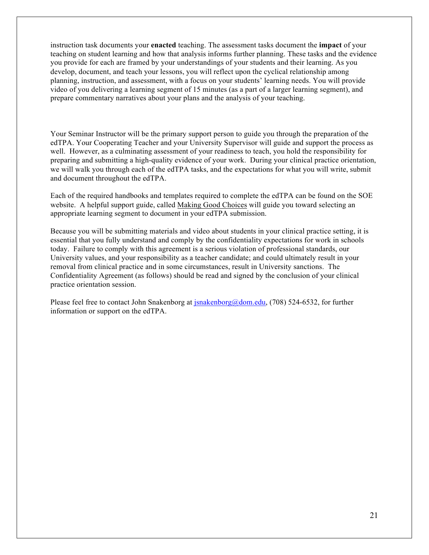instruction task documents your **enacted** teaching. The assessment tasks document the **impact** of your teaching on student learning and how that analysis informs further planning. These tasks and the evidence you provide for each are framed by your understandings of your students and their learning. As you develop, document, and teach your lessons, you will reflect upon the cyclical relationship among planning, instruction, and assessment, with a focus on your students' learning needs. You will provide video of you delivering a learning segment of 15 minutes (as a part of a larger learning segment), and prepare commentary narratives about your plans and the analysis of your teaching.

Your Seminar Instructor will be the primary support person to guide you through the preparation of the edTPA. Your Cooperating Teacher and your University Supervisor will guide and support the process as well. However, as a culminating assessment of your readiness to teach, you hold the responsibility for preparing and submitting a high-quality evidence of your work. During your clinical practice orientation, we will walk you through each of the edTPA tasks, and the expectations for what you will write, submit and document throughout the edTPA.

Each of the required handbooks and templates required to complete the edTPA can be found on the SOE website. A helpful support guide, called Making Good Choices will guide you toward selecting an appropriate learning segment to document in your edTPA submission.

Because you will be submitting materials and video about students in your clinical practice setting, it is essential that you fully understand and comply by the confidentiality expectations for work in schools today. Failure to comply with this agreement is a serious violation of professional standards, our University values, and your responsibility as a teacher candidate; and could ultimately result in your removal from clinical practice and in some circumstances, result in University sanctions. The Confidentiality Agreement (as follows) should be read and signed by the conclusion of your clinical practice orientation session.

Please feel free to contact John Snakenborg at  $isnakenborg(a)dom.edu, (708) 524-6532$ , for further information or support on the edTPA.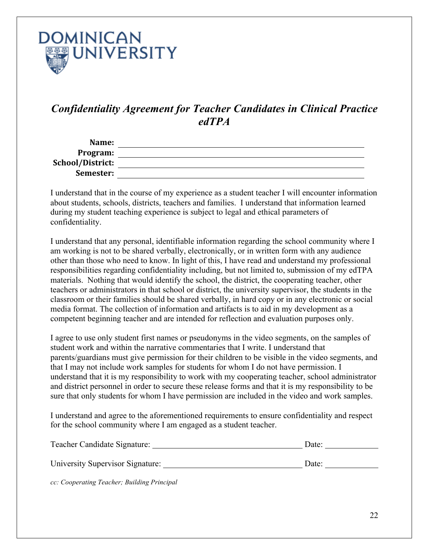

## *Confidentiality Agreement for Teacher Candidates in Clinical Practice edTPA*

| Name:            |  |
|------------------|--|
| <b>Program:</b>  |  |
| School/District: |  |
| Semester:        |  |

I understand that in the course of my experience as a student teacher I will encounter information about students, schools, districts, teachers and families. I understand that information learned during my student teaching experience is subject to legal and ethical parameters of confidentiality.

I understand that any personal, identifiable information regarding the school community where I am working is not to be shared verbally, electronically, or in written form with any audience other than those who need to know. In light of this, I have read and understand my professional responsibilities regarding confidentiality including, but not limited to, submission of my edTPA materials. Nothing that would identify the school, the district, the cooperating teacher, other teachers or administrators in that school or district, the university supervisor, the students in the classroom or their families should be shared verbally, in hard copy or in any electronic or social media format. The collection of information and artifacts is to aid in my development as a competent beginning teacher and are intended for reflection and evaluation purposes only.

I agree to use only student first names or pseudonyms in the video segments, on the samples of student work and within the narrative commentaries that I write. I understand that parents/guardians must give permission for their children to be visible in the video segments, and that I may not include work samples for students for whom I do not have permission. I understand that it is my responsibility to work with my cooperating teacher, school administrator and district personnel in order to secure these release forms and that it is my responsibility to be sure that only students for whom I have permission are included in the video and work samples.

I understand and agree to the aforementioned requirements to ensure confidentiality and respect for the school community where I am engaged as a student teacher.

| Teacher Candidate Signature:     | Date: |  |
|----------------------------------|-------|--|
| University Supervisor Signature: | Date: |  |

*cc: Cooperating Teacher; Building Principal*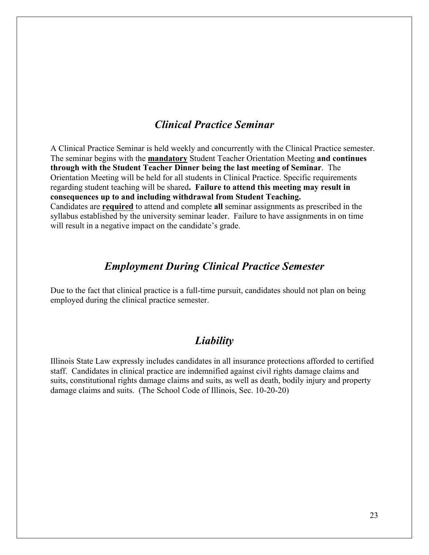#### *Clinical Practice Seminar*

A Clinical Practice Seminar is held weekly and concurrently with the Clinical Practice semester. The seminar begins with the **mandatory** Student Teacher Orientation Meeting **and continues through with the Student Teacher Dinner being the last meeting of Seminar**. The Orientation Meeting will be held for all students in Clinical Practice. Specific requirements regarding student teaching will be shared**. Failure to attend this meeting may result in consequences up to and including withdrawal from Student Teaching.** Candidates are **required** to attend and complete **all** seminar assignments as prescribed in the syllabus established by the university seminar leader. Failure to have assignments in on time will result in a negative impact on the candidate's grade.

#### *Employment During Clinical Practice Semester*

Due to the fact that clinical practice is a full-time pursuit, candidates should not plan on being employed during the clinical practice semester.

#### *Liability*

Illinois State Law expressly includes candidates in all insurance protections afforded to certified staff. Candidates in clinical practice are indemnified against civil rights damage claims and suits, constitutional rights damage claims and suits, as well as death, bodily injury and property damage claims and suits. (The School Code of Illinois, Sec. 10-20-20)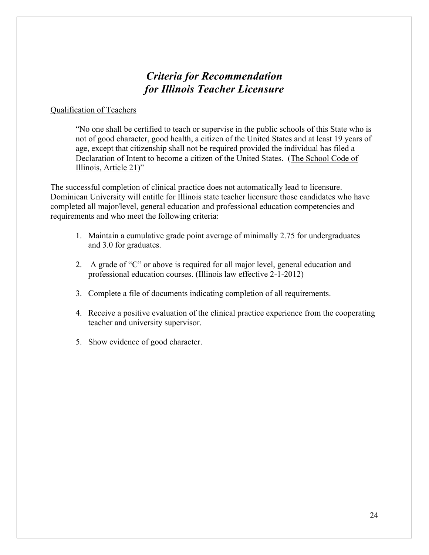## *Criteria for Recommendation for Illinois Teacher Licensure*

#### Qualification of Teachers

"No one shall be certified to teach or supervise in the public schools of this State who is not of good character, good health, a citizen of the United States and at least 19 years of age, except that citizenship shall not be required provided the individual has filed a Declaration of Intent to become a citizen of the United States. (The School Code of Illinois, Article 21)"

The successful completion of clinical practice does not automatically lead to licensure. Dominican University will entitle for Illinois state teacher licensure those candidates who have completed all major/level, general education and professional education competencies and requirements and who meet the following criteria:

- 1. Maintain a cumulative grade point average of minimally 2.75 for undergraduates and 3.0 for graduates.
- 2. A grade of "C" or above is required for all major level, general education and professional education courses. (Illinois law effective 2-1-2012)
- 3. Complete a file of documents indicating completion of all requirements.
- 4. Receive a positive evaluation of the clinical practice experience from the cooperating teacher and university supervisor.
- 5. Show evidence of good character.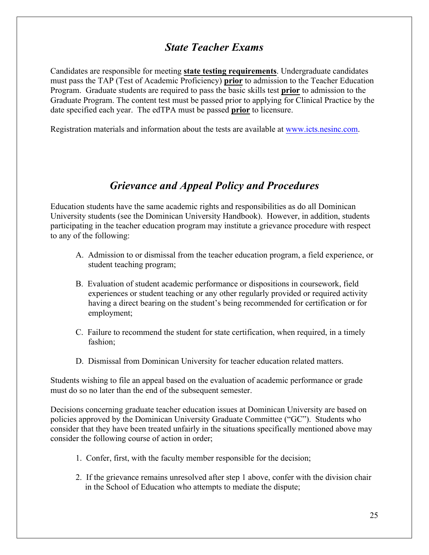### *State Teacher Exams*

Candidates are responsible for meeting **state testing requirements**. Undergraduate candidates must pass the TAP (Test of Academic Proficiency) **prior** to admission to the Teacher Education Program. Graduate students are required to pass the basic skills test **prior** to admission to the Graduate Program. The content test must be passed prior to applying for Clinical Practice by the date specified each year. The edTPA must be passed **prior** to licensure.

Registration materials and information about the tests are available at www.icts.nesinc.com.

#### *Grievance and Appeal Policy and Procedures*

Education students have the same academic rights and responsibilities as do all Dominican University students (see the Dominican University Handbook). However, in addition, students participating in the teacher education program may institute a grievance procedure with respect to any of the following:

- A. Admission to or dismissal from the teacher education program, a field experience, or student teaching program;
- B. Evaluation of student academic performance or dispositions in coursework, field experiences or student teaching or any other regularly provided or required activity having a direct bearing on the student's being recommended for certification or for employment;
- C. Failure to recommend the student for state certification, when required, in a timely fashion;
- D. Dismissal from Dominican University for teacher education related matters.

Students wishing to file an appeal based on the evaluation of academic performance or grade must do so no later than the end of the subsequent semester.

Decisions concerning graduate teacher education issues at Dominican University are based on policies approved by the Dominican University Graduate Committee ("GC"). Students who consider that they have been treated unfairly in the situations specifically mentioned above may consider the following course of action in order;

- 1. Confer, first, with the faculty member responsible for the decision;
- 2. If the grievance remains unresolved after step 1 above, confer with the division chair in the School of Education who attempts to mediate the dispute;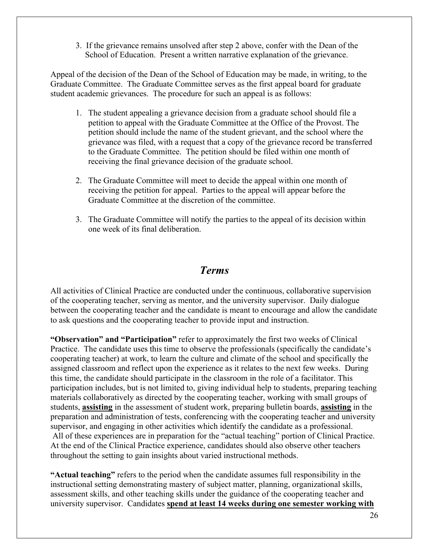3. If the grievance remains unsolved after step 2 above, confer with the Dean of the School of Education. Present a written narrative explanation of the grievance.

Appeal of the decision of the Dean of the School of Education may be made, in writing, to the Graduate Committee. The Graduate Committee serves as the first appeal board for graduate student academic grievances. The procedure for such an appeal is as follows:

- 1. The student appealing a grievance decision from a graduate school should file a petition to appeal with the Graduate Committee at the Office of the Provost. The petition should include the name of the student grievant, and the school where the grievance was filed, with a request that a copy of the grievance record be transferred to the Graduate Committee. The petition should be filed within one month of receiving the final grievance decision of the graduate school.
- 2. The Graduate Committee will meet to decide the appeal within one month of receiving the petition for appeal. Parties to the appeal will appear before the Graduate Committee at the discretion of the committee.
- 3. The Graduate Committee will notify the parties to the appeal of its decision within one week of its final deliberation.

#### *Terms*

All activities of Clinical Practice are conducted under the continuous, collaborative supervision of the cooperating teacher, serving as mentor, and the university supervisor. Daily dialogue between the cooperating teacher and the candidate is meant to encourage and allow the candidate to ask questions and the cooperating teacher to provide input and instruction.

**"Observation" and "Participation"** refer to approximately the first two weeks of Clinical Practice. The candidate uses this time to observe the professionals (specifically the candidate's cooperating teacher) at work, to learn the culture and climate of the school and specifically the assigned classroom and reflect upon the experience as it relates to the next few weeks. During this time, the candidate should participate in the classroom in the role of a facilitator. This participation includes, but is not limited to, giving individual help to students, preparing teaching materials collaboratively as directed by the cooperating teacher, working with small groups of students, **assisting** in the assessment of student work, preparing bulletin boards, **assisting** in the preparation and administration of tests, conferencing with the cooperating teacher and university supervisor, and engaging in other activities which identify the candidate as a professional. All of these experiences are in preparation for the "actual teaching" portion of Clinical Practice. At the end of the Clinical Practice experience, candidates should also observe other teachers throughout the setting to gain insights about varied instructional methods.

**"Actual teaching"** refers to the period when the candidate assumes full responsibility in the instructional setting demonstrating mastery of subject matter, planning, organizational skills, assessment skills, and other teaching skills under the guidance of the cooperating teacher and university supervisor. Candidates **spend at least 14 weeks during one semester working with**